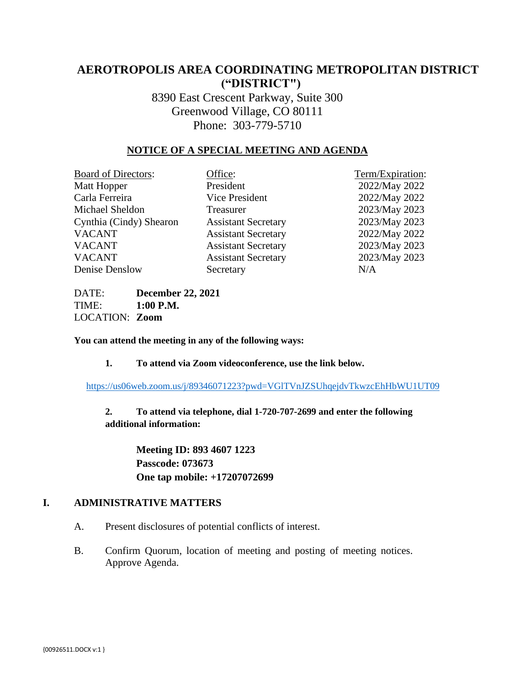## **AEROTROPOLIS AREA COORDINATING METROPOLITAN DISTRICT ("DISTRICT")**

8390 East Crescent Parkway, Suite 300 Greenwood Village, CO 80111 Phone: 303-779-5710

#### **NOTICE OF A SPECIAL MEETING AND AGENDA**

| <b>Board of Directors:</b> | Office:                    | Term/Expiration: |
|----------------------------|----------------------------|------------------|
| Matt Hopper                | President                  | 2022/May 2022    |
| Carla Ferreira             | Vice President             | 2022/May 2022    |
| Michael Sheldon            | Treasurer                  | 2023/May 2023    |
| Cynthia (Cindy) Shearon    | <b>Assistant Secretary</b> | 2023/May 2023    |
| <b>VACANT</b>              | <b>Assistant Secretary</b> | 2022/May 2022    |
| <b>VACANT</b>              | <b>Assistant Secretary</b> | 2023/May 2023    |
| <b>VACANT</b>              | <b>Assistant Secretary</b> | 2023/May 2023    |
| Denise Denslow             | Secretary                  | N/A              |

DATE: **December 22, 2021** TIME: **1:00 P.M.** LOCATION: **Zoom**

**You can attend the meeting in any of the following ways:**

**1. To attend via Zoom videoconference, use the link below.**

<https://us06web.zoom.us/j/89346071223?pwd=VGlTVnJZSUhqejdvTkwzcEhHbWU1UT09>

**2. To attend via telephone, dial 1-720-707-2699 and enter the following additional information:**

> **Meeting ID: 893 4607 1223 Passcode: 073673 One tap mobile: +17207072699**

#### **I. ADMINISTRATIVE MATTERS**

- A. Present disclosures of potential conflicts of interest.
- B. Confirm Quorum, location of meeting and posting of meeting notices. Approve Agenda.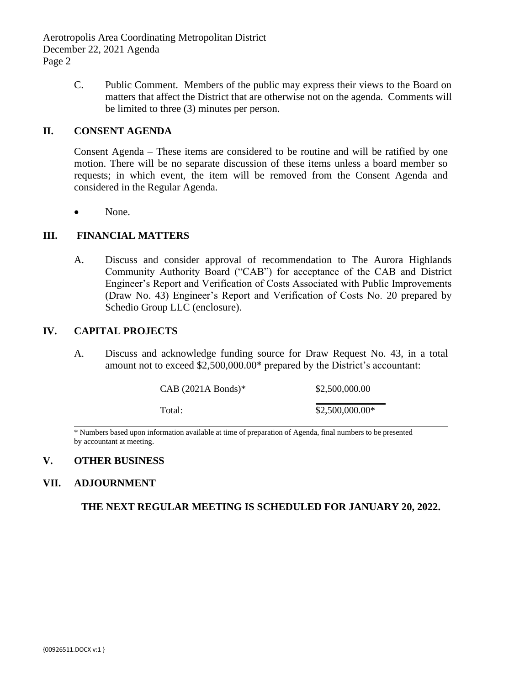Aerotropolis Area Coordinating Metropolitan District December 22, 2021 Agenda Page 2

> C. Public Comment. Members of the public may express their views to the Board on matters that affect the District that are otherwise not on the agenda. Comments will be limited to three (3) minutes per person.

#### **II. CONSENT AGENDA**

Consent Agenda – These items are considered to be routine and will be ratified by one motion. There will be no separate discussion of these items unless a board member so requests; in which event, the item will be removed from the Consent Agenda and considered in the Regular Agenda.

• None.

#### **III. FINANCIAL MATTERS**

A. Discuss and consider approval of recommendation to The Aurora Highlands Community Authority Board ("CAB") for acceptance of the CAB and District Engineer's Report and Verification of Costs Associated with Public Improvements (Draw No. 43) Engineer's Report and Verification of Costs No. 20 prepared by Schedio Group LLC (enclosure).

#### **IV. CAPITAL PROJECTS**

A. Discuss and acknowledge funding source for Draw Request No. 43, in a total amount not to exceed \$2,500,000.00\* prepared by the District's accountant:

| $CAB (2021A Bonds)*$ | \$2,500,000.00   |
|----------------------|------------------|
|                      |                  |
| Total:               | $$2,500,000.00*$ |

\* Numbers based upon information available at time of preparation of Agenda, final numbers to be presented by accountant at meeting.

#### **V. OTHER BUSINESS**

#### **VII. ADJOURNMENT**

**THE NEXT REGULAR MEETING IS SCHEDULED FOR JANUARY 20, 2022.**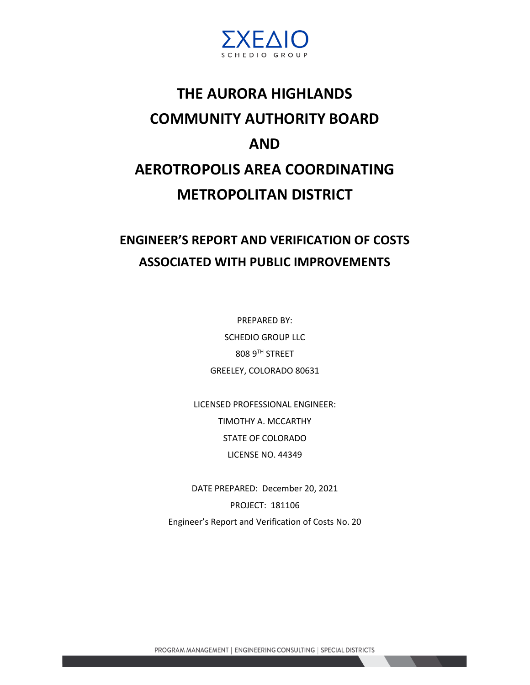

# **THE AURORA HIGHLANDS COMMUNITY AUTHORITY BOARD AND AEROTROPOLIS AREA COORDINATING METROPOLITAN DISTRICT**

## **ENGINEER'S REPORT AND VERIFICATION OF COSTS ASSOCIATED WITH PUBLIC IMPROVEMENTS**

PREPARED BY: SCHEDIO GROUP LLC 808 9TH STREET GREELEY, COLORADO 80631

LICENSED PROFESSIONAL ENGINEER: TIMOTHY A. MCCARTHY STATE OF COLORADO LICENSE NO. 44349

DATE PREPARED: December 20, 2021 PROJECT: 181106 Engineer's Report and Verification of Costs No. 20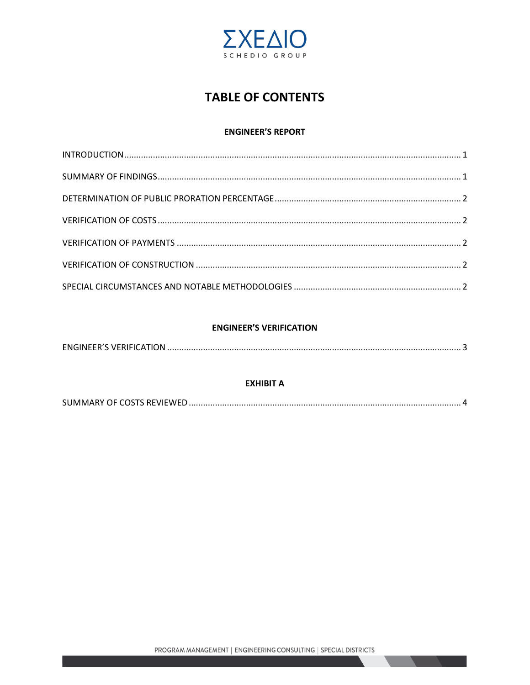

## **TABLE OF CONTENTS**

#### **ENGINEER'S REPORT**

#### **ENGINEER'S VERIFICATION**

#### **EXHIBIT A**

|--|--|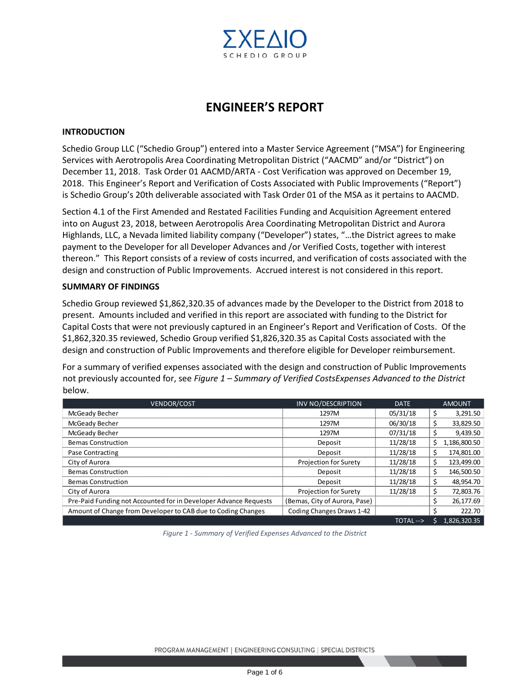

## **ENGINEER'S REPORT**

#### **INTRODUCTION**

Schedio Group LLC ("Schedio Group") entered into a Master Service Agreement ("MSA") for Engineering Services with Aerotropolis Area Coordinating Metropolitan District ("AACMD" and/or "District") on December 11, 2018. Task Order 01 AACMD/ARTA - Cost Verification was approved on December 19, 2018. This Engineer's Report and Verification of Costs Associated with Public Improvements ("Report") is Schedio Group's 20th deliverable associated with Task Order 01 of the MSA as it pertains to AACMD.

Section 4.1 of the First Amended and Restated Facilities Funding and Acquisition Agreement entered into on August 23, 2018, between Aerotropolis Area Coordinating Metropolitan District and Aurora Highlands, LLC, a Nevada limited liability company ("Developer") states, "…the District agrees to make payment to the Developer for all Developer Advances and /or Verified Costs, together with interest thereon." This Report consists of a review of costs incurred, and verification of costs associated with the design and construction of Public Improvements. Accrued interest is not considered in this report.

#### **SUMMARY OF FINDINGS**

Schedio Group reviewed \$1,862,320.35 of advances made by the Developer to the District from 2018 to present. Amounts included and verified in this report are associated with funding to the District for Capital Costs that were not previously captured in an Engineer's Report and Verification of Costs. Of the \$1,862,320.35 reviewed, Schedio Group verified \$1,826,320.35 as Capital Costs associated with the design and construction of Public Improvements and therefore eligible for Developer reimbursement.

For a summary of verified expenses associated with the design and construction of Public Improvements not previously accounted for, see *Figure 1 – Summary of Verified CostsExpenses Advanced to the District* below.

| <b>VENDOR/COST</b>                                               | <b>INV NO/DESCRIPTION</b>     | <b>DATE</b> |    | <b>AMOUNT</b> |
|------------------------------------------------------------------|-------------------------------|-------------|----|---------------|
| McGeady Becher                                                   | 1297M                         | 05/31/18    | S  | 3,291.50      |
| McGeady Becher                                                   | 1297M                         | 06/30/18    | \$ | 33,829.50     |
| McGeady Becher                                                   | 1297M                         | 07/31/18    |    | 9,439.50      |
| <b>Bemas Construction</b>                                        | Deposit                       | 11/28/18    | \$ | 1,186,800.50  |
| Pase Contracting                                                 | Deposit                       | 11/28/18    | \$ | 174,801.00    |
| City of Aurora                                                   | <b>Projection for Surety</b>  | 11/28/18    | \$ | 123,499.00    |
| <b>Bemas Construction</b>                                        | Deposit                       | 11/28/18    | \$ | 146,500.50    |
| <b>Bemas Construction</b>                                        | Deposit                       | 11/28/18    | \$ | 48.954.70     |
| City of Aurora                                                   | <b>Projection for Surety</b>  | 11/28/18    | \$ | 72,803.76     |
| Pre-Paid Funding not Accounted for in Developer Advance Requests | (Bemas, City of Aurora, Pase) |             | Ś  | 26.177.69     |
| Amount of Change from Developer to CAB due to Coding Changes     | Coding Changes Draws 1-42     |             |    | 222.70        |
|                                                                  |                               | TOTAL-->    |    | 1,826,320.35  |

*Figure 1 - Summary of Verified Expenses Advanced to the District*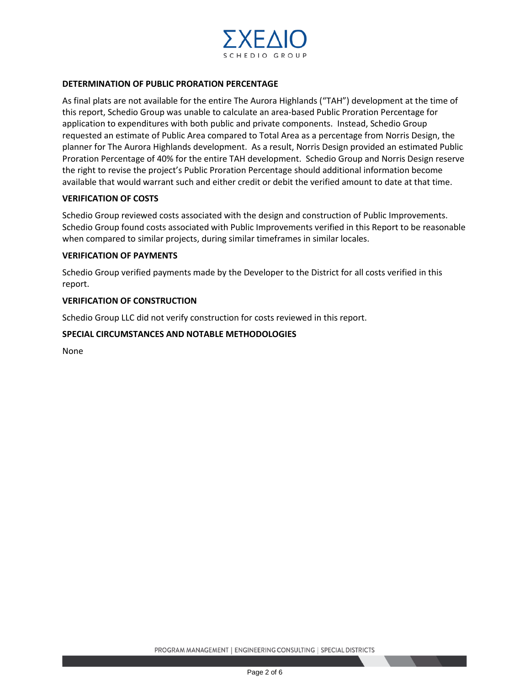

#### **DETERMINATION OF PUBLIC PRORATION PERCENTAGE**

As final plats are not available for the entire The Aurora Highlands ("TAH") development at the time of this report, Schedio Group was unable to calculate an area-based Public Proration Percentage for application to expenditures with both public and private components. Instead, Schedio Group requested an estimate of Public Area compared to Total Area as a percentage from Norris Design, the planner for The Aurora Highlands development. As a result, Norris Design provided an estimated Public Proration Percentage of 40% for the entire TAH development. Schedio Group and Norris Design reserve the right to revise the project's Public Proration Percentage should additional information become available that would warrant such and either credit or debit the verified amount to date at that time.

#### **VERIFICATION OF COSTS**

Schedio Group reviewed costs associated with the design and construction of Public Improvements. Schedio Group found costs associated with Public Improvements verified in this Report to be reasonable when compared to similar projects, during similar timeframes in similar locales.

#### **VERIFICATION OF PAYMENTS**

Schedio Group verified payments made by the Developer to the District for all costs verified in this report.

#### **VERIFICATION OF CONSTRUCTION**

Schedio Group LLC did not verify construction for costs reviewed in this report.

#### **SPECIAL CIRCUMSTANCES AND NOTABLE METHODOLOGIES**

None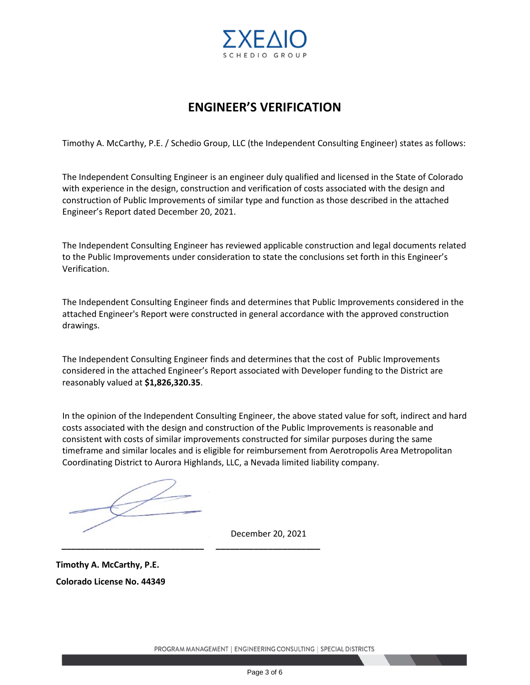

## **ENGINEER'S VERIFICATION**

Timothy A. McCarthy, P.E. / Schedio Group, LLC (the Independent Consulting Engineer) states as follows:

The Independent Consulting Engineer is an engineer duly qualified and licensed in the State of Colorado with experience in the design, construction and verification of costs associated with the design and construction of Public Improvements of similar type and function as those described in the attached Engineer's Report dated December 20, 2021.

The Independent Consulting Engineer has reviewed applicable construction and legal documents related to the Public Improvements under consideration to state the conclusions set forth in this Engineer's Verification.

The Independent Consulting Engineer finds and determines that Public Improvements considered in the attached Engineer's Report were constructed in general accordance with the approved construction drawings.

The Independent Consulting Engineer finds and determines that the cost of Public Improvements considered in the attached Engineer's Report associated with Developer funding to the District are reasonably valued at **\$1,826,320.35**.

In the opinion of the Independent Consulting Engineer, the above stated value for soft, indirect and hard costs associated with the design and construction of the Public Improvements is reasonable and consistent with costs of similar improvements constructed for similar purposes during the same timeframe and similar locales and is eligible for reimbursement from Aerotropolis Area Metropolitan Coordinating District to Aurora Highlands, LLC, a Nevada limited liability company.

**\_\_\_\_\_\_\_\_\_\_\_\_\_\_\_\_\_\_\_\_\_\_\_\_\_\_\_\_\_\_ \_\_\_\_\_\_\_\_\_\_\_\_\_\_\_\_\_\_\_\_\_\_**

December 20, 2021

**Timothy A. McCarthy, P.E. Colorado License No. 44349**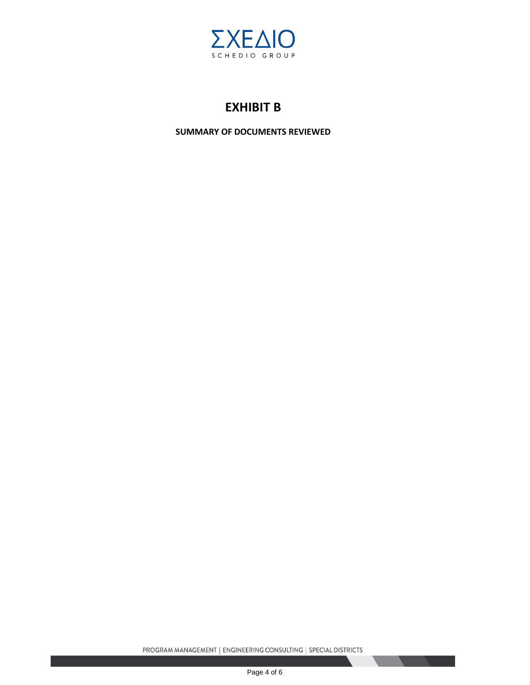

## **EXHIBIT B**

**SUMMARY OF DOCUMENTS REVIEWED**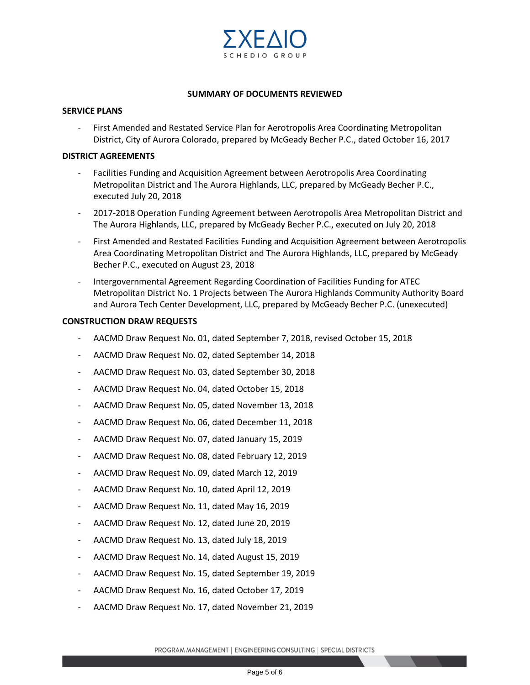

#### **SUMMARY OF DOCUMENTS REVIEWED**

#### **SERVICE PLANS**

First Amended and Restated Service Plan for Aerotropolis Area Coordinating Metropolitan District, City of Aurora Colorado, prepared by McGeady Becher P.C., dated October 16, 2017

#### **DISTRICT AGREEMENTS**

- Facilities Funding and Acquisition Agreement between Aerotropolis Area Coordinating Metropolitan District and The Aurora Highlands, LLC, prepared by McGeady Becher P.C., executed July 20, 2018
- 2017-2018 Operation Funding Agreement between Aerotropolis Area Metropolitan District and The Aurora Highlands, LLC, prepared by McGeady Becher P.C., executed on July 20, 2018
- First Amended and Restated Facilities Funding and Acquisition Agreement between Aerotropolis Area Coordinating Metropolitan District and The Aurora Highlands, LLC, prepared by McGeady Becher P.C., executed on August 23, 2018
- Intergovernmental Agreement Regarding Coordination of Facilities Funding for ATEC Metropolitan District No. 1 Projects between The Aurora Highlands Community Authority Board and Aurora Tech Center Development, LLC, prepared by McGeady Becher P.C. (unexecuted)

#### **CONSTRUCTION DRAW REQUESTS**

- AACMD Draw Request No. 01, dated September 7, 2018, revised October 15, 2018
- AACMD Draw Request No. 02, dated September 14, 2018
- AACMD Draw Request No. 03, dated September 30, 2018
- AACMD Draw Request No. 04, dated October 15, 2018
- AACMD Draw Request No. 05, dated November 13, 2018
- AACMD Draw Request No. 06, dated December 11, 2018
- AACMD Draw Request No. 07, dated January 15, 2019
- AACMD Draw Request No. 08, dated February 12, 2019
- AACMD Draw Request No. 09, dated March 12, 2019
- AACMD Draw Request No. 10, dated April 12, 2019
- AACMD Draw Request No. 11, dated May 16, 2019
- AACMD Draw Request No. 12, dated June 20, 2019
- AACMD Draw Request No. 13, dated July 18, 2019
- AACMD Draw Request No. 14, dated August 15, 2019
- AACMD Draw Request No. 15, dated September 19, 2019
- AACMD Draw Request No. 16, dated October 17, 2019
- AACMD Draw Request No. 17, dated November 21, 2019